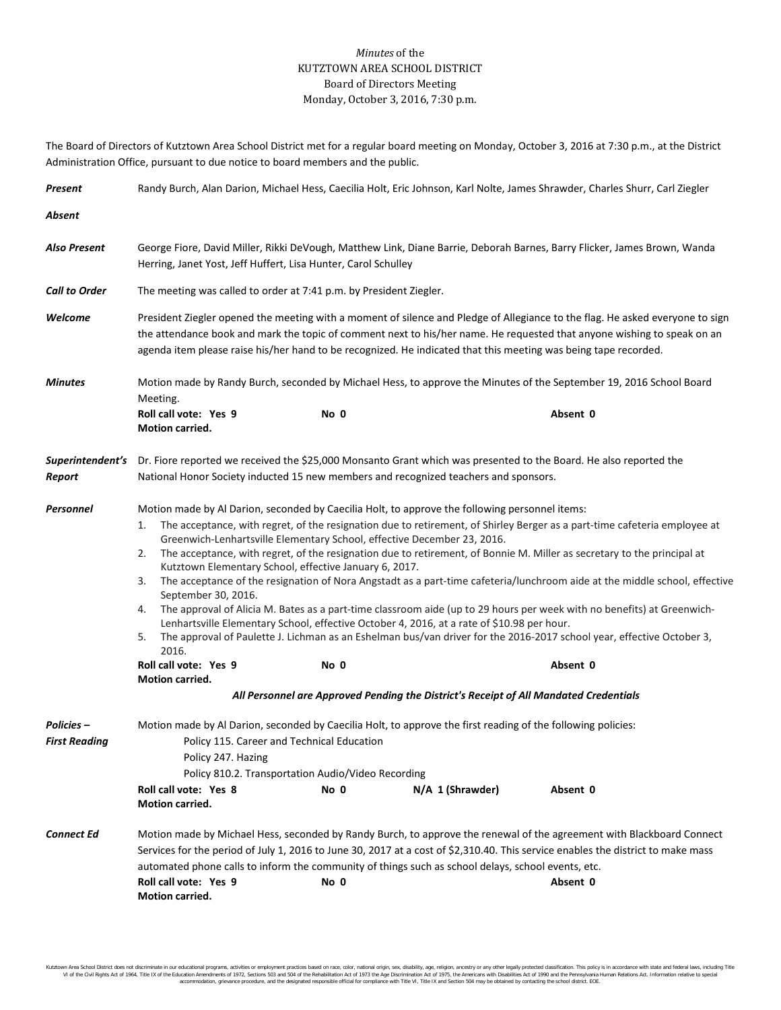## *Minutes* of the KUTZTOWN AREA SCHOOL DISTRICT Board of Directors Meeting Monday, October 3, 2016, 7:30 p.m.

The Board of Directors of Kutztown Area School District met for a regular board meeting on Monday, October 3, 2016 at 7:30 p.m., at the District Administration Office, pursuant to due notice to board members and the public.

| Present                                   | Randy Burch, Alan Darion, Michael Hess, Caecilia Holt, Eric Johnson, Karl Nolte, James Shrawder, Charles Shurr, Carl Ziegler                                                                                                                                                                                                                                                                                                                                                                                                                                                                                                                                                                                                                                                                                                                                                                                                                                                                                                                                                                                                                                                                      |                                                                                                          |                                                                                                                                  |          |  |  |  |
|-------------------------------------------|---------------------------------------------------------------------------------------------------------------------------------------------------------------------------------------------------------------------------------------------------------------------------------------------------------------------------------------------------------------------------------------------------------------------------------------------------------------------------------------------------------------------------------------------------------------------------------------------------------------------------------------------------------------------------------------------------------------------------------------------------------------------------------------------------------------------------------------------------------------------------------------------------------------------------------------------------------------------------------------------------------------------------------------------------------------------------------------------------------------------------------------------------------------------------------------------------|----------------------------------------------------------------------------------------------------------|----------------------------------------------------------------------------------------------------------------------------------|----------|--|--|--|
| Absent                                    |                                                                                                                                                                                                                                                                                                                                                                                                                                                                                                                                                                                                                                                                                                                                                                                                                                                                                                                                                                                                                                                                                                                                                                                                   |                                                                                                          |                                                                                                                                  |          |  |  |  |
| Also Present                              | George Fiore, David Miller, Rikki DeVough, Matthew Link, Diane Barrie, Deborah Barnes, Barry Flicker, James Brown, Wanda<br>Herring, Janet Yost, Jeff Huffert, Lisa Hunter, Carol Schulley                                                                                                                                                                                                                                                                                                                                                                                                                                                                                                                                                                                                                                                                                                                                                                                                                                                                                                                                                                                                        |                                                                                                          |                                                                                                                                  |          |  |  |  |
| <b>Call to Order</b>                      | The meeting was called to order at 7:41 p.m. by President Ziegler.                                                                                                                                                                                                                                                                                                                                                                                                                                                                                                                                                                                                                                                                                                                                                                                                                                                                                                                                                                                                                                                                                                                                |                                                                                                          |                                                                                                                                  |          |  |  |  |
| Welcome                                   | President Ziegler opened the meeting with a moment of silence and Pledge of Allegiance to the flag. He asked everyone to sign<br>the attendance book and mark the topic of comment next to his/her name. He requested that anyone wishing to speak on an<br>agenda item please raise his/her hand to be recognized. He indicated that this meeting was being tape recorded.                                                                                                                                                                                                                                                                                                                                                                                                                                                                                                                                                                                                                                                                                                                                                                                                                       |                                                                                                          |                                                                                                                                  |          |  |  |  |
| <b>Minutes</b>                            | Motion made by Randy Burch, seconded by Michael Hess, to approve the Minutes of the September 19, 2016 School Board<br>Meeting.                                                                                                                                                                                                                                                                                                                                                                                                                                                                                                                                                                                                                                                                                                                                                                                                                                                                                                                                                                                                                                                                   |                                                                                                          |                                                                                                                                  |          |  |  |  |
|                                           | Roll call vote: Yes 9<br><b>Motion carried.</b>                                                                                                                                                                                                                                                                                                                                                                                                                                                                                                                                                                                                                                                                                                                                                                                                                                                                                                                                                                                                                                                                                                                                                   | No 0                                                                                                     |                                                                                                                                  | Absent 0 |  |  |  |
| Report                                    | Superintendent's Dr. Fiore reported we received the \$25,000 Monsanto Grant which was presented to the Board. He also reported the<br>National Honor Society inducted 15 new members and recognized teachers and sponsors.                                                                                                                                                                                                                                                                                                                                                                                                                                                                                                                                                                                                                                                                                                                                                                                                                                                                                                                                                                        |                                                                                                          |                                                                                                                                  |          |  |  |  |
| Personnel                                 | Motion made by Al Darion, seconded by Caecilia Holt, to approve the following personnel items:<br>The acceptance, with regret, of the resignation due to retirement, of Shirley Berger as a part-time cafeteria employee at<br>1.<br>Greenwich-Lenhartsville Elementary School, effective December 23, 2016.<br>The acceptance, with regret, of the resignation due to retirement, of Bonnie M. Miller as secretary to the principal at<br>2.<br>Kutztown Elementary School, effective January 6, 2017.<br>The acceptance of the resignation of Nora Angstadt as a part-time cafeteria/lunchroom aide at the middle school, effective<br>3.<br>September 30, 2016.<br>The approval of Alicia M. Bates as a part-time classroom aide (up to 29 hours per week with no benefits) at Greenwich-<br>4.<br>Lenhartsville Elementary School, effective October 4, 2016, at a rate of \$10.98 per hour.<br>The approval of Paulette J. Lichman as an Eshelman bus/van driver for the 2016-2017 school year, effective October 3,<br>5.<br>2016.<br>Roll call vote: Yes 9<br>No 0<br>Absent 0<br>Motion carried.<br>All Personnel are Approved Pending the District's Receipt of All Mandated Credentials |                                                                                                          |                                                                                                                                  |          |  |  |  |
| <b>Policies -</b><br><b>First Reading</b> | Policy 247. Hazing<br>Roll call vote: Yes 8<br><b>Motion carried.</b>                                                                                                                                                                                                                                                                                                                                                                                                                                                                                                                                                                                                                                                                                                                                                                                                                                                                                                                                                                                                                                                                                                                             | Policy 115. Career and Technical Education<br>Policy 810.2. Transportation Audio/Video Recording<br>No 0 | Motion made by Al Darion, seconded by Caecilia Holt, to approve the first reading of the following policies:<br>N/A 1 (Shrawder) | Absent 0 |  |  |  |
| <b>Connect Ed</b>                         | Motion made by Michael Hess, seconded by Randy Burch, to approve the renewal of the agreement with Blackboard Connect<br>Services for the period of July 1, 2016 to June 30, 2017 at a cost of \$2,310.40. This service enables the district to make mass<br>automated phone calls to inform the community of things such as school delays, school events, etc.<br>Roll call vote: Yes 9<br>Motion carried.                                                                                                                                                                                                                                                                                                                                                                                                                                                                                                                                                                                                                                                                                                                                                                                       | No 0                                                                                                     |                                                                                                                                  | Absent 0 |  |  |  |

Kutztown Area School District does not discriminate in our educational programs, activities or employment practices based on race, color, national origin, sex, disability, age, religion, ancestry or any other legally prot